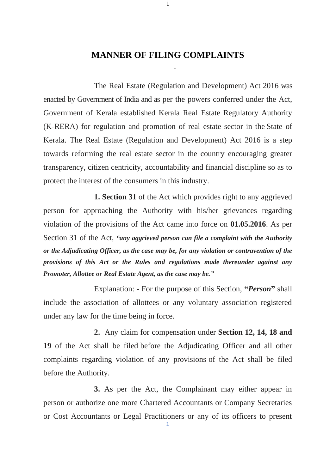## **MANNER OF FILING COMPLAINTS**

1

The Real Estate (Regulation and Development) Act 2016 was enacted by Government of India and as per the powers conferred under the Act, Government of Kerala established Kerala Real Estate Regulatory Authority (K-RERA) for regulation and promotion of real estate sector in the State of Kerala. The Real Estate (Regulation and Development) Act 2016 is a step towards reforming the real estate sector in the country encouraging greater transparency, citizen centricity, accountability and financial discipline so as to protect the interest of the consumers in this industry.

**1. Section 31** of the Act which provides right to any aggrieved person for approaching the Authority with his/her grievances regarding violation of the provisions of the Act came into force on **01.05.2016**. As per Section 31 of the Act, *"any aggrieved person can file a complaint with the Authority or the Adjudicating Officer, as the case may be, for any violation or contravention of the provisions of this Act or the Rules and regulations made thereunder against any Promoter, Allottee or Real Estate Agent, as the case may be."*

Explanation: - For the purpose of this Section, **"***Person***"** shall include the association of allottees or any voluntary association registered under any law for the time being in force.

**2.** Any claim for compensation under **Section 12, 14, 18 and 19** of the Act shall be filed before the Adjudicating Officer and all other complaints regarding violation of any provisions of the Act shall be filed before the Authority.

**3.** As per the Act, the Complainant may either appear in person or authorize one more Chartered Accountants or Company Secretaries or Cost Accountants or Legal Practitioners or any of its officers to present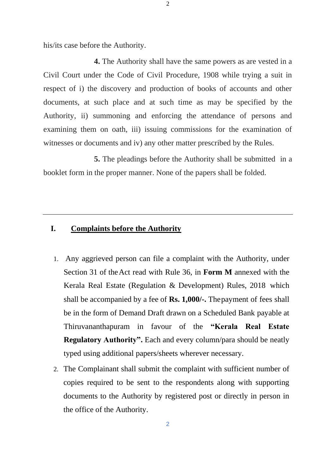his/its case before the Authority.

**4.** The Authority shall have the same powers as are vested in a Civil Court under the Code of Civil Procedure, 1908 while trying a suit in respect of i) the discovery and production of books of accounts and other documents, at such place and at such time as may be specified by the Authority, ii) summoning and enforcing the attendance of persons and examining them on oath, iii) issuing commissions for the examination of witnesses or documents and iv) any other matter prescribed by the Rules.

**5.** The pleadings before the Authority shall be submitted in a booklet form in the proper manner. None of the papers shall be folded.

## **I. Complaints before the Authority**

- 1. Any aggrieved person can file a complaint with the Authority, under Section 31 of theAct read with Rule 36, in **[Form M](https://rera.kerala.gov.in/sites/default/files/2019-10/Form-M.pdf)** annexed with the Kerala Real Estate (Regulation & Development) Rules, 2018 which shall be accompanied by a fee of **Rs. 1,000/-.** Thepayment of fees shall be in the form of Demand Draft drawn on a Scheduled Bank payable at Thiruvananthapuram in favour of the **"Kerala Real Estate Regulatory Authority".** Each and every column/para should be neatly typed using additional papers/sheets wherever necessary.
- 2. The Complainant shall submit the complaint with sufficient number of copies required to be sent to the respondents along with supporting documents to the Authority by registered post or directly in person in the office of the Authority.

2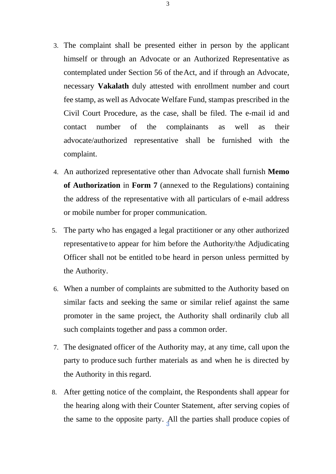- 3. The complaint shall be presented either in person by the applicant himself or through an Advocate or an Authorized Representative as contemplated under Section 56 of theAct, and if through an Advocate, necessary **Vakalath** duly attested with enrollment number and court fee stamp, as well as Advocate Welfare Fund, stampas prescribed in the Civil Court Procedure, as the case, shall be filed. The e-mail id and contact number of the complainants as well as their advocate/authorized representative shall be furnished with the complaint.
- 4. An authorized representative other than Advocate shall furnish **Memo of Authorization** in **Form 7** (annexed to the Regulations) containing the address of the representative with all particulars of e-mail address or mobile number for proper communication.
- 5. The party who has engaged a legal practitioner or any other authorized representative to appear for him before the Authority/the Adjudicating Officer shall not be entitled to be heard in person unless permitted by the Authority.
- 6. When a number of complaints are submitted to the Authority based on similar facts and seeking the same or similar relief against the same promoter in the same project, the Authority shall ordinarily club all such complaints together and pass a common order.
- 7. The designated officer of the Authority may, at any time, call upon the party to produce such further materials as and when he is directed by the Authority in this regard.
- the same to the opposite party.  $\frac{1}{3}$ II the parties shall produce copies of 8. After getting notice of the complaint, the Respondents shall appear for the hearing along with their Counter Statement, after serving copies of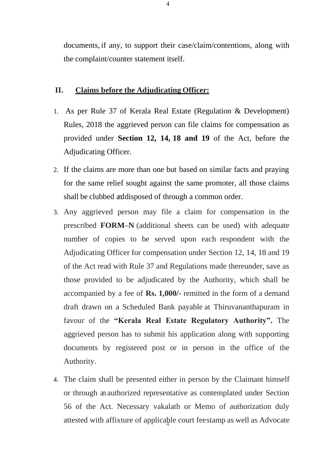documents, if any, to support their case/claim/contentions, along with the complaint/counter statement itself.

## **II. Claims before the Adjudicating Officer:**

- 1. As per Rule 37 of Kerala Real Estate (Regulation & Development) Rules, 2018 the aggrieved person can file claims for compensation as provided under **Section 12, 14, 18 and 19** of the Act, before the Adjudicating Officer.
- 2. If the claims are more than one but based on similar facts and praying for the same relief sought against the same promoter, all those claims shall be clubbed anddisposed of through a common order.
- 3. Any aggrieved person may file a claim for compensation in the prescribed **[FORM–N](https://rera.kerala.gov.in/sites/default/files/2019-10/Form-N.pdf)** (additional sheets can be used) with adequate number of copies to be served upon each respondent with the Adjudicating Officer for compensation under Section 12, 14, 18 and 19 of the Act read with Rule 37 and Regulations made thereunder, save as those provided to be adjudicated by the Authority, which shall be accompanied by a fee of **Rs. 1,000/-** remitted in the form of a demand draft drawn on a Scheduled Bank payable at Thiruvananthapuram in favour of the **"Kerala Real Estate Regulatory Authority".** The aggrieved person has to submit his application along with supporting documents by registered post or in person in the office of the Authority.
- attested with affixture of applicable court feestamp as well as Advocate 4. The claim shall be presented either in person by the Claimant himself or through an authorized representative as contemplated under Section 56 of the Act. Necessary vakalath or Memo of authorization duly

4